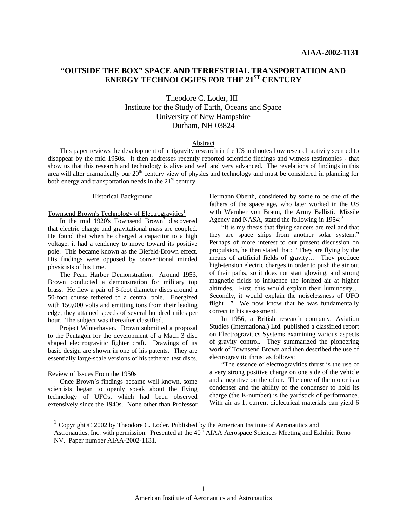# **"OUTSIDE THE BOX" SPACE AND TERRESTRIAL TRANSPORTATION AND ENERGY TECHNOLOGIES FOR THE 21ST CENTURY**

Theodore C. Loder,  $III<sup>1</sup>$ Institute for the Study of Earth, Oceans and Space University of New Hampshire Durham, NH 03824

#### Abstract

This paper reviews the development of antigravity research in the US and notes how research activity seemed to disappear by the mid 1950s. It then addresses recently reported scientific findings and witness testimonies - that show us that this research and technology is alive and well and very advanced. The revelations of findings in this area will alter dramatically our  $20<sup>th</sup>$  century view of physics and technology and must be considered in planning for both energy and transportation needs in the  $21<sup>st</sup>$  century.

# Historical Background

Townsend Brown's Technology of Electrogravitics<sup>1</sup>

In the mid 1920's Townsend Brown<sup>2</sup> discovered that electric charge and gravitational mass are coupled. He found that when he charged a capacitor to a high voltage, it had a tendency to move toward its positive pole. This became known as the Biefeld-Brown effect. His findings were opposed by conventional minded physicists of his time.

The Pearl Harbor Demonstration. Around 1953, Brown conducted a demonstration for military top brass. He flew a pair of 3-foot diameter discs around a 50-foot course tethered to a central pole. Energized with 150,000 volts and emitting ions from their leading edge, they attained speeds of several hundred miles per hour. The subject was thereafter classified.

Project Winterhaven. Brown submitted a proposal to the Pentagon for the development of a Mach 3 disc shaped electrogravitic fighter craft. Drawings of its basic design are shown in one of his patents. They are essentially large-scale versions of his tethered test discs.

#### Review of Issues From the 1950s

 $\overline{a}$ 

Once Brown's findings became well known, some scientists began to openly speak about the flying technology of UFOs, which had been observed extensively since the 1940s. None other than Professor

Hermann Oberth, considered by some to be one of the fathers of the space age, who later worked in the US with Wernher von Braun, the Army Ballistic Missile Agency and NASA, stated the following in 1954:<sup>3</sup>

"It is my thesis that flying saucers are real and that they are space ships from another solar system." Perhaps of more interest to our present discussion on propulsion, he then stated that: "They are flying by the means of artificial fields of gravity… They produce high-tension electric charges in order to push the air out of their paths, so it does not start glowing, and strong magnetic fields to influence the ionized air at higher altitudes. First, this would explain their luminosity… Secondly, it would explain the noiselessness of UFO flight..." We now know that he was fundamentally correct in his assessment.

In 1956, a British research company, Aviation Studies (International) Ltd. published a classified report on Electrogravitics Systems examining various aspects of gravity control. They summarized the pioneering work of Townsend Brown and then described the use of electrogravitic thrust as follows:

"The essence of electrogravitics thrust is the use of a very strong positive charge on one side of the vehicle and a negative on the other. The core of the motor is a condenser and the ability of the condenser to hold its charge (the K-number) is the yardstick of performance. With air as 1, current dielectrical materials can yield 6

<sup>&</sup>lt;sup>1</sup> Copyright © 2002 by Theodore C. Loder. Published by the American Institute of Aeronautics and Astronautics, Inc. with permission. Presented at the 40<sup>th</sup> AIAA Aerospace Sciences Meeting and Exhibit, Reno NV. Paper number AIAA-2002-1131.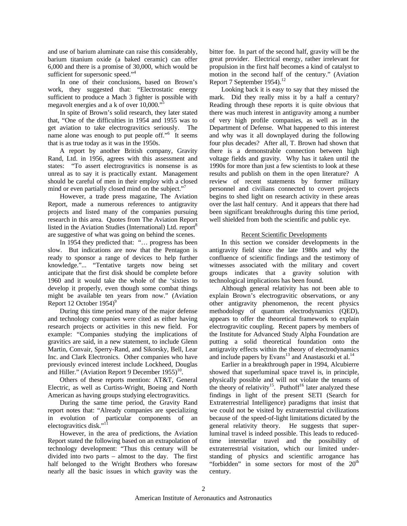and use of barium aluminate can raise this considerably, barium titanium oxide (a baked ceramic) can offer 6,000 and there is a promise of 30,000, which would be sufficient for supersonic speed."<sup>4</sup>

In one of their conclusions, based on Brown's work, they suggested that: "Electrostatic energy sufficient to produce a Mach 3 fighter is possible with megavolt energies and a k of over 10,000."

In spite of Brown's solid research, they later stated that, "One of the difficulties in 1954 and 1955 was to get aviation to take electrogravitics seriously. The name alone was enough to put people off."<sup>6</sup> It seems that is as true today as it was in the 1950s.

A report by another British company, Gravity Rand, Ltd. in 1956, agrees with this assessment and states: "To assert electrogravitics is nonsense is as unreal as to say it is practically extant. Management should be careful of men in their employ with a closed mind or even partially closed mind on the subject."

However, a trade press magazine, The Aviation Report, made a numerous references to antigravity projects and listed many of the companies pursuing research in this area. Quotes from The Aviation Report listed in the Aviation Studies (International) Ltd. report<sup>8</sup> are suggestive of what was going on behind the scenes.

In 1954 they predicted that: "… progress has been slow. But indications are now that the Pentagon is ready to sponsor a range of devices to help further knowledge."... "Tentative targets now being set anticipate that the first disk should be complete before 1960 and it would take the whole of the 'sixties to develop it properly, even though some combat things might be available ten years from now." (Aviation Report 12 October 1954)<sup>9</sup>

During this time period many of the major defense and technology companies were cited as either having research projects or activities in this new field. For example: "Companies studying the implications of gravitics are said, in a new statement, to include Glenn Martin, Convair, Sperry-Rand, and Sikorsky, Bell, Lear Inc. and Clark Electronics. Other companies who have previously evinced interest include Lockheed, Douglas and Hiller." (Aviation Report 9 December  $1955$ )<sup>10</sup>.

Others of these reports mention: AT&T, General Electric, as well as Curtiss-Wright, Boeing and North American as having groups studying electrogravitics.

During the same time period, the Gravity Rand report notes that: "Already companies are specializing in evolution of particular components of an electogravitics disk."<sup>1</sup>

However, in the area of predictions, the Aviation Report stated the following based on an extrapolation of technology development: "Thus this century will be divided into two parts – almost to the day. The first half belonged to the Wright Brothers who foresaw nearly all the basic issues in which gravity was the

bitter foe. In part of the second half, gravity will be the great provider. Electrical energy, rather irrelevant for propulsion in the first half becomes a kind of catalyst to motion in the second half of the century." (Aviation Report 7 September 1954).<sup>12</sup>

Looking back it is easy to say that they missed the mark. Did they really miss it by a half a century? Reading through these reports it is quite obvious that there was much interest in antigravity among a number of very high profile companies, as well as in the Department of Defense. What happened to this interest and why was it all downplayed during the following four plus decades? After all, T. Brown had shown that there is a demonstrable connection between high voltage fields and gravity. Why has it taken until the 1990s for more than just a few scientists to look at these results and publish on them in the open literature? A review of recent statements by former military personnel and civilians connected to covert projects begins to shed light on research activity in these areas over the last half century. And it appears that there had been significant breakthroughs during this time period, well shielded from both the scientific and public eye.

### Recent Scientific Developments

In this section we consider developments in the antigravity field since the late 1980s and why the confluence of scientific findings and the testimony of witnesses associated with the military and covert groups indicates that a gravity solution with technological implications has been found.

Although general relativity has not been able to explain Brown's electrogravitic observations, or any other antigravity phenomenon, the recent physics methodology of quantum electrodynamics (QED), appears to offer the theoretical framework to explain electrogravitic coupling. Recent papers by members of the Institute for Advanced Study Alpha Foundation are putting a solid theoretical foundation onto the antigravity effects within the theory of electrodynamics and include papers by Evans $13$  and Anastasozki et al.<sup>14</sup>

Earlier in a breakthrough paper in 1994, Alcubierre showed that superluminal space travel is, in principle, physically possible and will not violate the tenants of the theory of relativity<sup>15</sup>. Puthoff<sup>16</sup> later analyzed these findings in light of the present SETI (Search for Extraterrestrial Intelligence) paradigms that insist that we could not be visited by extraterrestrial civilizations because of the speed-of-light limitations dictated by the general relativity theory. He suggests that superluminal travel is indeed possible. This leads to reducedtime interstellar travel and the possibility of extraterrestrial visitation, which our limited understanding of physics and scientific arrogance has "forbidden" in some sectors for most of the  $20<sup>th</sup>$ century.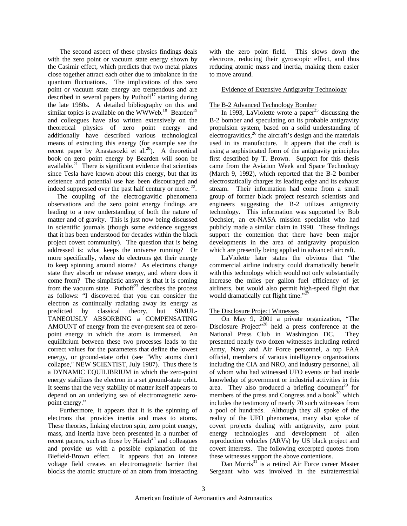The second aspect of these physics findings deals with the zero point or vacuum state energy shown by the Casimir effect, which predicts that two metal plates close together attract each other due to imbalance in the quantum fluctuations. The implications of this zero point or vacuum state energy are tremendous and are described in several papers by Puthoff $17$  starting during the late 1980s. A detailed bibliography on this and similar topics is available on the WWWeb.<sup>18</sup> Bearden<sup>19</sup> and colleagues have also written extensively on the theoretical physics of zero point energy and additionally have described various technological means of extracting this energy (for example see the recent paper by Anastasozki et al.<sup>20</sup>). A theoretical book on zero point energy by Bearden will soon be available. $^{21}$  There is significant evidence that scientists since Tesla have known about this energy, but that its existence and potential use has been discouraged and indeed suppressed over the past half century or more.<sup>22</sup>.

The coupling of the electrogravitic phenomena observations and the zero point energy findings are leading to a new understanding of both the nature of matter and of gravity. This is just now being discussed in scientific journals (though some evidence suggests that it has been understood for decades within the black project covert community). The question that is being addressed is: what keeps the universe running? Or more specifically, where do electrons get their energy to keep spinning around atoms? As electrons change state they absorb or release energy, and where does it come from? The simplistic answer is that it is coming from the vacuum state. Puthoff $f^{23}$  describes the process as follows: "I discovered that you can consider the electron as continually radiating away its energy as predicted by classical theory, but SIMUL-TANEOUSLY ABSORBING a COMPENSATING AMOUNT of energy from the ever-present sea of zeropoint energy in which the atom is immersed. An equilibrium between these two processes leads to the correct values for the parameters that define the lowest energy, or ground-state orbit (see "Why atoms don't collapse," NEW SCIENTIST, July 1987). Thus there is a DYNAMIC EQUILIBRIUM in which the zero-point energy stabilizes the electron in a set ground-state orbit. It seems that the very stability of matter itself appears to depend on an underlying sea of electromagnetic zeropoint energy."

Furthermore, it appears that it is the spinning of electrons that provides inertia and mass to atoms. These theories, linking electron spin, zero point energy, mass, and inertia have been presented in a number of recent papers, such as those by  $Haisch<sup>24</sup>$  and colleagues and provide us with a possible explanation of the Biefield-Brown effect. It appears that an intense voltage field creates an electromagnetic barrier that blocks the atomic structure of an atom from interacting

with the zero point field. This slows down the electrons, reducing their gyroscopic effect, and thus reducing atomic mass and inertia, making them easier to move around.

### Evidence of Extensive Antigravity Technology

# The B-2 Advanced Technology Bomber

In 1993, LaViolette wrote a paper<sup>25</sup> discussing the B-2 bomber and speculating on its probable antigravity propulsion system, based on a solid understanding of electrogravitics, $^{26}$  the aircraft's design and the materials used in its manufacture. It appears that the craft is using a sophisticated form of the antigravity principles first described by T. Brown. Support for this thesis came from the Aviation Week and Space Technology (March 9, 1992), which reported that the B-2 bomber electrostatically charges its leading edge and its exhaust stream. Their information had come from a small group of former black project research scientists and engineers suggesting the B-2 utilizes antigravity technology. This information was supported by Bob Oechsler, an ex-NASA mission specialist who had publicly made a similar claim in 1990. These findings support the contention that there have been major developments in the area of antigravity propulsion which are presently being applied in advanced aircraft.

LaViolette later states the obvious that "the commercial airline industry could dramatically benefit with this technology which would not only substantially increase the miles per gallon fuel efficiency of jet airliners, but would also permit high-speed flight that would dramatically cut flight time."<sup>2</sup>

# The Disclosure Project Witnesses

On May 9, 2001 a private organization, "The Disclosure Project"<sup>28</sup> held a press conference at the National Press Club in Washington DC. They presented nearly two dozen witnesses including retired Army, Navy and Air Force personnel, a top FAA official, members of various intelligence organizations including the CIA and NRO, and industry personnel, all of whom who had witnessed UFO events or had inside knowledge of government or industrial activities in this area. They also produced a briefing document<sup>29</sup> for members of the press and Congress and a book $30$  which includes the testimony of nearly 70 such witnesses from a pool of hundreds. Although they all spoke of the reality of the UFO phenomena, many also spoke of covert projects dealing with antigravity, zero point energy technologies and development of alien reproduction vehicles (ARVs) by US black project and covert interests. The following excerpted quotes from these witnesses support the above contentions.

Dan Morris<sup>31</sup> is a retired Air Force career Master Sergeant who was involved in the extraterrestrial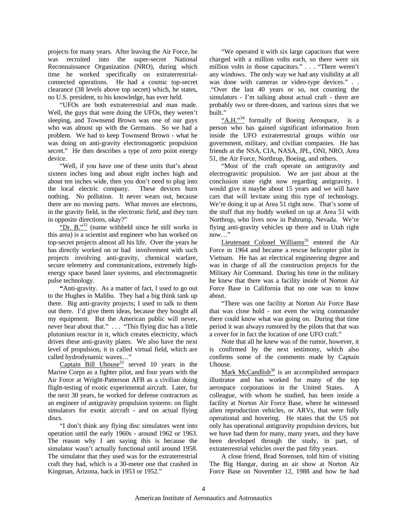projects for many years. After leaving the Air Force, he was recruited into the super-secret National Reconnaissance Organization (NRO), during which time he worked specifically on extraterrestrialconnected operations. He had a cosmic top-secret clearance (38 levels above top secret) which, he states, no U.S. president, to his knowledge, has ever held.

"UFOs are both extraterrestrial and man made. Well, the guys that were doing the UFOs, they weren't sleeping, and Townsend Brown was one of our guys who was almost up with the Germans. So we had a problem. We had to keep Townsend Brown - what he was doing on anti-gravity electromagnetic propulsion secret." He then describes a type of zero point energy device.

"Well, if you have one of these units that's about sixteen inches long and about eight inches high and about ten inches wide, then you don't need to plug into the local electric company. These devices burn nothing. No pollution. It never wears out, because there are no moving parts. What moves are electrons, in the gravity field, in the electronic field, and they turn in opposite directions, okay?"

 $\frac{1}{2}$ Dr. B." $^{32}$  (name withheld since he still works in this area) is a scientist and engineer who has worked on top-secret projects almost all his life. Over the years he has directly worked on or had involvement with such projects involving anti-gravity, chemical warfare, secure telemetry and communications, extremely highenergy space based laser systems, and electromagnetic pulse technology.

**"**Anti-gravity. As a matter of fact, I used to go out to the Hughes in Malibu. They had a big think tank up there. Big anti-gravity projects; I used to talk to them out there. I'd give them ideas, because they bought all my equipment. But the American public will never, never hear about that." . . . "This flying disc has a little plutonium reactor in it, which creates electricity, which drives these anti-gravity plates. We also have the next level of propulsion, it is called virtual field, which are called hydrodynamic waves…"

Captain Bill Uhouse<sup>33</sup> served 10 years in the Marine Corps as a fighter pilot, and four years with the Air Force at Wright-Patterson AFB as a civilian doing flight-testing of exotic experimental aircraft. Later, for the next 30 years, he worked for defense contractors as an engineer of antigravity propulsion systems: on flight simulators for exotic aircraft - and on actual flying discs.

"I don't think any flying disc simulators went into operation until the early 1960s - around 1962 or 1963. The reason why I am saying this is because the simulator wasn't actually functional until around 1958. The simulator that they used was for the extraterrestrial craft they had, which is a 30-meter one that crashed in Kingman, Arizona, back in 1953 or 1952."

"We operated it with six large capacitors that were charged with a million volts each, so there were six million volts in those capacitors." . . . "There weren't any windows. The only way we had any visibility at all was done with cameras or video-type devices.". ."Over the last 40 years or so, not counting the simulators - I'm talking about actual craft - there are probably two or three-dozen, and various sizes that we built."

"A.H."<sup>34</sup> formally of Boeing Aerospace, is a person who has gained significant information from inside the UFO extraterrestrial groups within our government, military, and civilian companies. He has friends at the NSA, CIA, NASA, JPL, ONI, NRO, Area 51, the Air Force, Northrup, Boeing, and others.

"Most of the craft operate on antigravity and electrogravitic propulsion. We are just about at the conclusion state right now regarding antigravity. I would give it maybe about 15 years and we will have cars that will levitate using this type of technology. We're doing it up at Area 51 right now. That's some of the stuff that my buddy worked on up at Area 51 with Northrup, who lives now in Pahrump, Nevada. We're flying anti-gravity vehicles up there and in Utah right now…"

Lieutenant Colonel Williams<sup>35</sup> entered the Air Force in 1964 and became a rescue helicopter pilot in Vietnam. He has an electrical engineering degree and was in charge of all the construction projects for the Military Air Command. During his time in the military he knew that there was a facility inside of Norton Air Force Base in California that no one was to know about.

"There was one facility at Norton Air Force Base that was close hold - not even the wing commander there could know what was going on. During that time period it was always rumored by the pilots that that was a cover for in fact the location of one UFO craft."

Note that all he knew was of the rumor, however, it is confirmed by the next testimony, which also confirms some of the comments made by Captain Uhouse.

Mark McCandlish<sup>36</sup> is an accomplished aerospace illustrator and has worked for many of the top aerospace corporations in the United States. A colleague, with whom he studied, has been inside a facility at Norton Air Force Base, where he witnessed alien reproduction vehicles, or ARVs, that were fully operational and hovering. He states that the US not only has operational antigravity propulsion devices, but we have had them for many, many years, and they have been developed through the study, in part, of extraterrestrial vehicles over the past fifty years.

A close friend, Brad Sorensen, told him of visiting The Big Hangar, during an air show at Norton Air Force Base on November 12, 1988 and how he had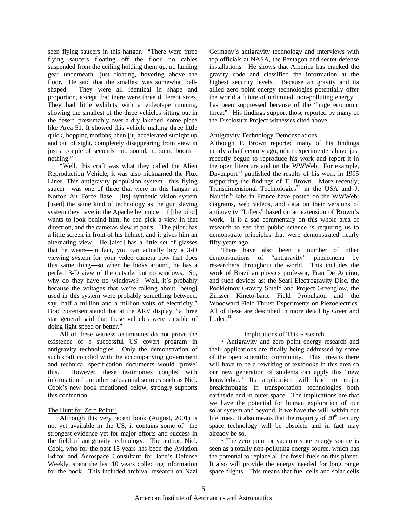seen flying saucers in this hangar. "There were three flying saucers floating off the floor—no cables suspended from the ceiling holding them up, no landing gear underneath—just floating, hovering above the floor. He said that the smallest was somewhat bellshaped. They were all identical in shape and proportion, except that there were three different sizes. They had little exhibits with a videotape running, showing the smallest of the three vehicles sitting out in the desert, presumably over a dry lakebed, some place like Area 51. It showed this vehicle making three little quick, hopping motions; then [it] accelerated straight up and out of sight, completely disappearing from view in just a couple of seconds—no sound, no sonic boom nothing."

"Well, this craft was what they called the Alien Reproduction Vehicle; it was also nicknamed the Flux Liner. This antigravity propulsion system—this flying saucer—was one of three that were in this hangar at Norton Air Force Base. [Its] synthetic vision system [used] the same kind of technology as the gun slaving system they have in the Apache helicopter: if [the pilot] wants to look behind him, he can pick a view in that direction, and the cameras slew in pairs. [The pilot] has a little screen in front of his helmet, and it gives him an alternating view. He [also] has a little set of glasses that he wears—in fact, you can actually buy a 3-D viewing system for your video camera now that does this same thing—so when he looks around, he has a perfect 3-D view of the outside, but no windows. So, why do they have no windows? Well, it's probably because the voltages that we're talking about [being] used in this system were probably something between, say, half a million and a million volts of electricity." Brad Sorensen stated that at the ARV display, "a three star general said that these vehicles were capable of doing light speed or better."

All of these witness testimonies do not prove the existence of a successful US covert program in antigravity technologies. Only the demonstration of such craft coupled with the accompanying government and technical specification documents would 'prove' this. However, these testimonies coupled with information from other substantial sources such as Nick Cook's new book mentioned below, strongly supports this contention.

#### The Hunt for Zero Point<sup>37</sup>

Although this very recent book (August, 2001) is not yet available in the US, it contains some of the strongest evidence yet for major efforts and success in the field of antigravity technology. The author, Nick Cook, who for the past 15 years has been the Aviation Editor and Aerospace Consultant for Jane's Defense Weekly, spent the last 10 years collecting information for the book. This included archival research on Nazi

Germany's antigravity technology and interviews with top officials at NASA, the Pentagon and secret defense installations. He shows that America has cracked the gravity code and classified the information at the highest security levels. Because antigravity and its allied zero point energy technologies potentially offer the world a future of unlimited, non-polluting energy it has been suppressed because of the "huge economic threat". His findings support those reported by many of the Disclosure Project witnesses cited above.

#### Antigravity Technology Demonstrations

Although T. Brown reported many of his findings nearly a half century ago, other experimenters have just recently begun to reproduce his work and report it in the open literature and on the WWWeb. For example, Davenport<sup>38</sup> published the results of his work in 1995 supporting the findings of T. Brown. More recently, Transdimensional Technologies<sup>39</sup> in the USA and J. Naudin<sup>40</sup> labs in France have posted on the WWWeb: diagrams, web videos, and data on their versions of antigravity "Lifters" based on an extension of Brown's work. It is a sad commentary on this whole area of research to see that public science is requiring us to demonstrate principles that were demonstrated nearly fifty years ago.

There have also been a number of other demonstrations of "antigravity" phenomena by researchers throughout the world. This includes the work of Brazilian physics professor, Fran De Aquino, and such devices as: the Searl Electrogravity Disc, the Podkletnov Gravity Shield and Project Greenglow, the Zinsser Kineto-baric Field Propulsion and the Woodward Field Thrust Experiments on Piezoelectrics. All of these are described in more detail by Greer and  $\text{Loder.}^{41}$ 

#### Implications of This Research

• Antigravity and zero point energy research and their applications are finally being addressed by some of the open scientific community. This means there will have to be a rewriting of textbooks in this area so our new generation of students can apply this "new knowledge." Its application will lead to major breakthroughs in transportation technologies both earthside and in outer space. The implications are that we have the potential for human exploration of our solar system and beyond, if we have the will, within our lifetimes. It also means that the majority of  $20<sup>th</sup>$  century space technology will be obsolete and in fact may already be so.

• The zero point or vacuum state energy source is seen as a totally non-polluting energy source, which has the potential to replace all the fossil fuels on this planet. It also will provide the energy needed for long range space flights. This means that fuel cells and solar cells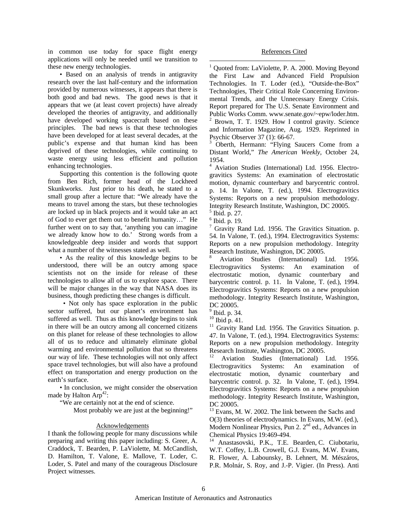in common use today for space flight energy applications will only be needed until we transition to these new energy technologies.

• Based on an analysis of trends in antigravity research over the last half-century and the information provided by numerous witnesses, it appears that there is both good and bad news. The good news is that it appears that we (at least covert projects) have already developed the theories of antigravity, and additionally have developed working spacecraft based on these principles. The bad news is that these technologies have been developed for at least several decades, at the public's expense and that human kind has been deprived of these technologies, while continuing to waste energy using less efficient and pollution enhancing technologies.

Supporting this contention is the following quote from Ben Rich, former head of the Lockheed Skunkworks. Just prior to his death, he stated to a small group after a lecture that: "We already have the means to travel among the stars, but these technologies are locked up in black projects and it would take an act of God to ever get them out to benefit humanity…" He further went on to say that, 'anything you can imagine we already know how to do.' Strong words from a knowledgeable deep insider and words that support what a number of the witnesses stated as well.

• As the reality of this knowledge begins to be understood, there will be an outcry among space scientists not on the inside for release of these technologies to allow all of us to explore space. There will be major changes in the way that NASA does its business, though predicting these changes is difficult.

 • Not only has space exploration in the public sector suffered, but our planet's environment has suffered as well. Thus as this knowledge begins to sink in there will be an outcry among all concerned citizens on this planet for release of these technologies to allow all of us to reduce and ultimately eliminate global warming and environmental pollution that so threatens our way of life. These technologies will not only affect space travel technologies, but will also have a profound effect on transportation and energy production on the earth's surface.

• In conclusion, we might consider the observation made by Halton  $Arp^{42}$ :

"We are certainly not at the end of science.

Most probably we are just at the beginning!"

#### Acknowledgements

I thank the following people for many discussions while preparing and writing this paper including: S. Greer, A. Craddock, T. Bearden, P. LaViolette, M. McCandlish, D. Hamilton, T. Valone, E. Mallove, T. Loder, C. Loder, S. Patel and many of the courageous Disclosure Project witnesses.

# References Cited

 $\overline{a}$ 1 Quoted from: LaViolette, P. A. 2000. Moving Beyond the First Law and Advanced Field Propulsion Technologies. In T. Loder (ed.), "Outside-the-Box" Technologies, Their Critical Role Concerning Environmental Trends, and the Unnecessary Energy Crisis. Report prepared for The U.S. Senate Environment and Public Works Comm. www.senate.gov/~epw/loder.htm. 2 Brown, T. T. 1929. How I control gravity. Science and Information Magazine, Aug. 1929. Reprinted in Psychic Observer 37 (1): 66-67.

3 Oberth, Hermann: "Flying Saucers Come from a Distant World," *The American Weekly*, October 24, 1954.

4 Aviation Studies (International) Ltd. 1956. Electrogravitics Systems: An examination of electrostatic motion, dynamic counterbary and barycentric control. p. 14. In Valone, T. (ed.), 1994. Electrogravitics Systems: Reports on a new propulsion methodology. Integrity Research Institute, Washington, DC 20005.

 $6$  Ibid. p. 19.

<sup>7</sup> Gravity Rand Ltd. 1956. The Gravitics Situation. p. 54. In Valone, T. (ed.), 1994. Electrogravitics Systems: Reports on a new propulsion methodology. Integrity Research Institute, Washington, DC 20005.

8 Aviation Studies (International) Ltd. 1956. Electrogravitics Systems: An examination of electrostatic motion, dynamic counterbary and barycentric control. p. 11. In Valone, T. (ed.), 1994. Electrogravitics Systems: Reports on a new propulsion methodology. Integrity Research Institute, Washington, DC 20005.

<sup>10</sup> Ibid p. 41.

<sup>11</sup> Gravity Rand Ltd. 1956. The Gravitics Situation. p. 47. In Valone, T. (ed.), 1994. Electrogravitics Systems: Reports on a new propulsion methodology. Integrity Research Institute, Washington, DC 20005.

<sup>12</sup> Aviation Studies (International) Ltd. 1956. Electrogravitics Systems: An examination of electrostatic motion, dynamic counterbary and barycentric control. p. 32. In Valone, T. (ed.), 1994. Electrogravitics Systems: Reports on a new propulsion methodology. Integrity Research Institute, Washington, DC 20005.

<sup>13</sup> Evans, M. W. 2002. The link between the Sachs and O(3) theories of electrodynamics. In Evans, M.W. (ed.), Modern Nonlinear Physics, Pun 2.  $2<sup>nd</sup>$  ed., Advances in Chemical Physics 19:469-494.

<sup>14</sup> Anastasovski, P.K., T.E. Bearden, C. Ciubotariu, W.T. Coffey, L.B. Crowell, G.J. Evans, M.W. Evans, R. Flower, A. Labounsky, B. Lehnert, M. Mészáros, P.R. Molnár, S. Roy, and J.-P. Vigier. (In Press). Anti

<sup>5</sup> Ibid. p. 27.

 $<sup>9</sup>$  Ibid. p. 34.</sup>